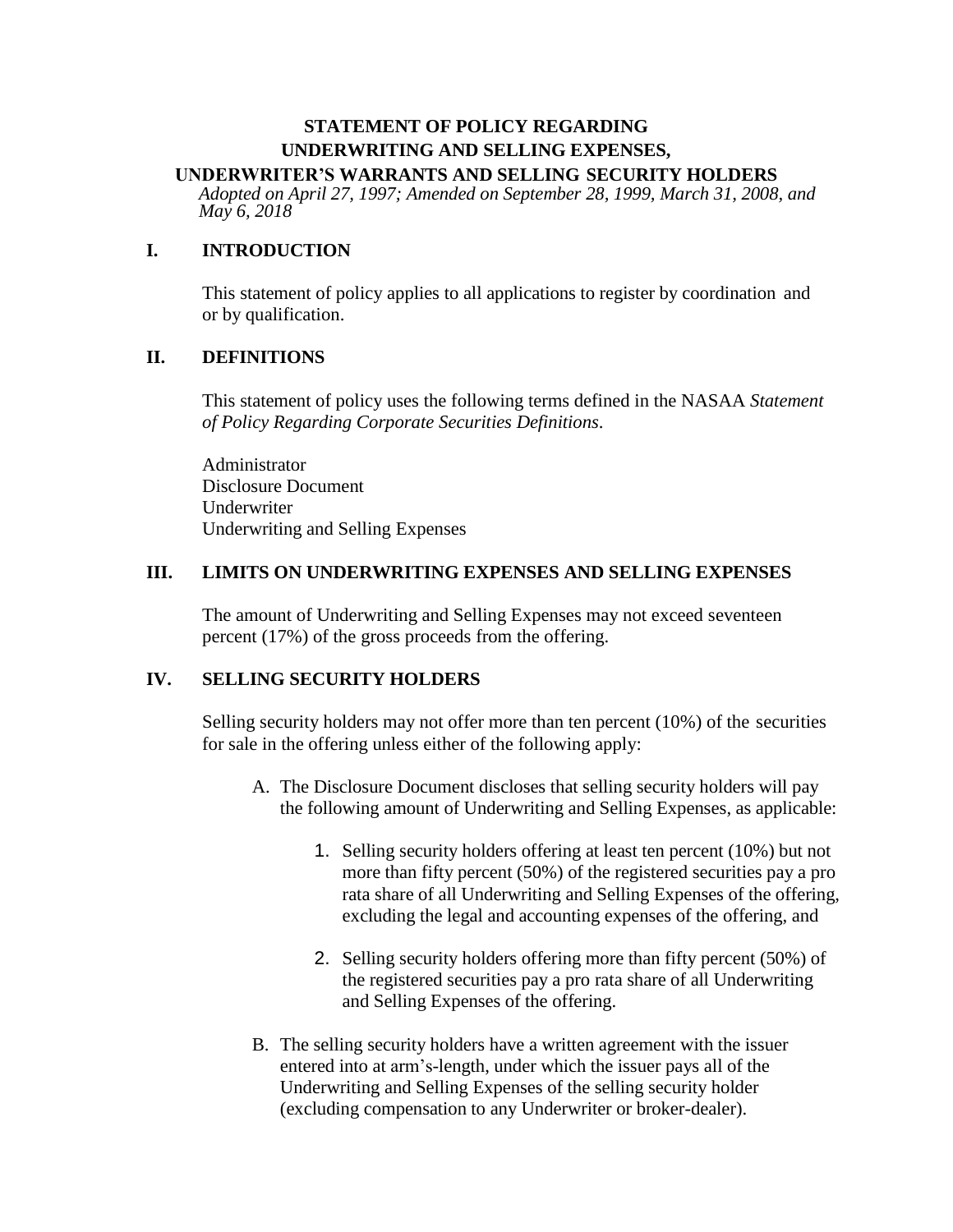# **STATEMENT OF POLICY REGARDING UNDERWRITING AND SELLING EXPENSES,**

## **UNDERWRITER'S WARRANTS AND SELLING SECURITY HOLDERS**

*Adopted on April 27, 1997; Amended on September 28, 1999, March 31, 2008, and May 6, 2018*

### **I. INTRODUCTION**

This statement of policy applies to all applications to register by coordination and or by qualification.

#### **II. DEFINITIONS**

This statement of policy uses the following terms defined in the NASAA *Statement of Policy Regarding Corporate Securities Definitions*.

Administrator Disclosure Document Underwriter Underwriting and Selling Expenses

#### **III. LIMITS ON UNDERWRITING EXPENSES AND SELLING EXPENSES**

The amount of Underwriting and Selling Expenses may not exceed seventeen percent (17%) of the gross proceeds from the offering.

### **IV. SELLING SECURITY HOLDERS**

Selling security holders may not offer more than ten percent (10%) of the securities for sale in the offering unless either of the following apply:

- A. The Disclosure Document discloses that selling security holders will pay the following amount of Underwriting and Selling Expenses, as applicable:
	- 1. Selling security holders offering at least ten percent (10%) but not more than fifty percent (50%) of the registered securities pay a pro rata share of all Underwriting and Selling Expenses of the offering, excluding the legal and accounting expenses of the offering, and
	- 2. Selling security holders offering more than fifty percent (50%) of the registered securities pay a pro rata share of all Underwriting and Selling Expenses of the offering.
- B. The selling security holders have a written agreement with the issuer entered into at arm's-length, under which the issuer pays all of the Underwriting and Selling Expenses of the selling security holder (excluding compensation to any Underwriter or broker-dealer).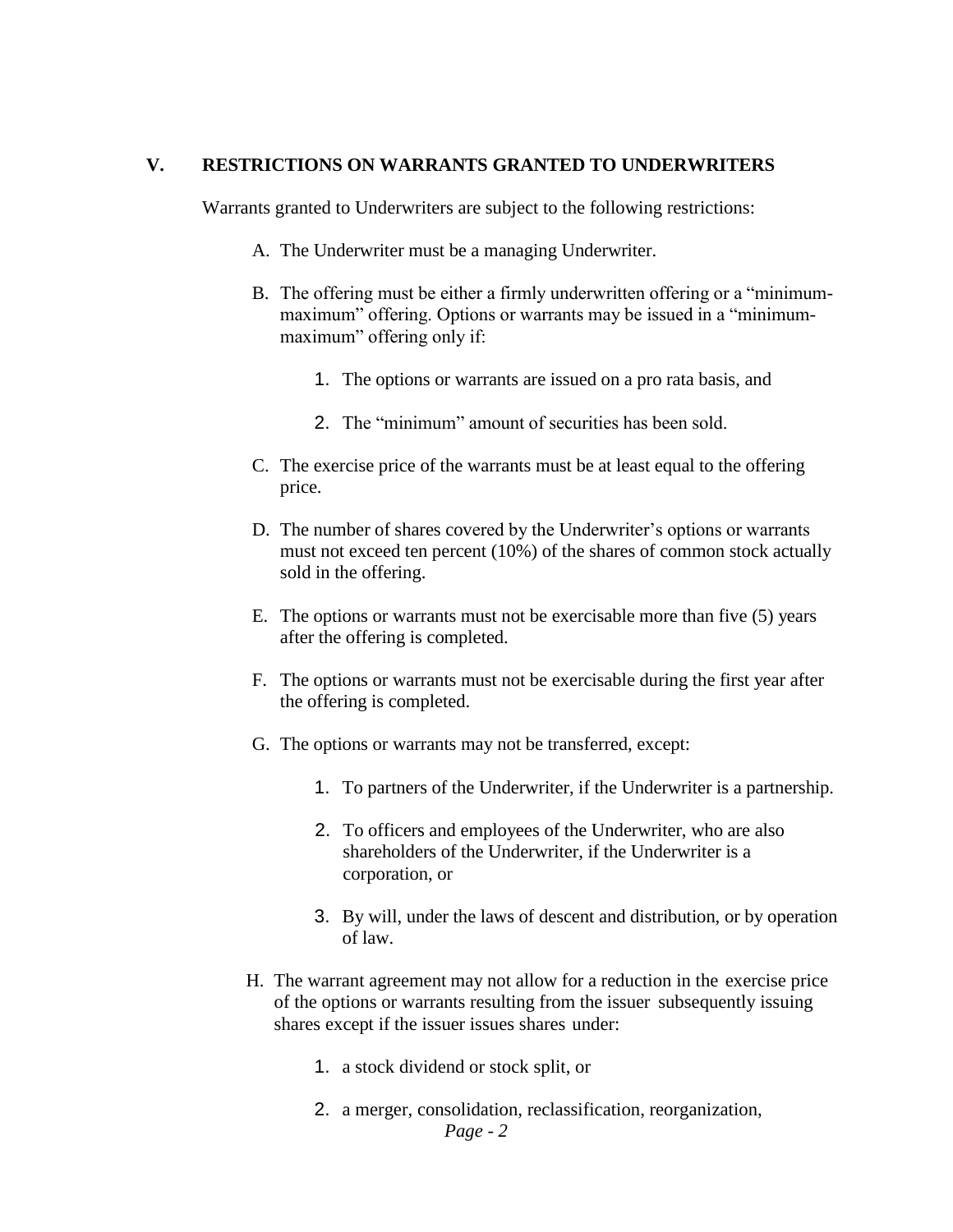#### **V. RESTRICTIONS ON WARRANTS GRANTED TO UNDERWRITERS**

Warrants granted to Underwriters are subject to the following restrictions:

- A. The Underwriter must be a managing Underwriter.
- B. The offering must be either a firmly underwritten offering or a "minimummaximum" offering. Options or warrants may be issued in a "minimummaximum" offering only if:
	- 1. The options or warrants are issued on a pro rata basis, and
	- 2. The "minimum" amount of securities has been sold.
- C. The exercise price of the warrants must be at least equal to the offering price.
- D. The number of shares covered by the Underwriter's options or warrants must not exceed ten percent (10%) of the shares of common stock actually sold in the offering.
- E. The options or warrants must not be exercisable more than five (5) years after the offering is completed.
- F. The options or warrants must not be exercisable during the first year after the offering is completed.
- G. The options or warrants may not be transferred, except:
	- 1. To partners of the Underwriter, if the Underwriter is a partnership.
	- 2. To officers and employees of the Underwriter, who are also shareholders of the Underwriter, if the Underwriter is a corporation, or
	- 3. By will, under the laws of descent and distribution, or by operation of law.
- H. The warrant agreement may not allow for a reduction in the exercise price of the options or warrants resulting from the issuer subsequently issuing shares except if the issuer issues shares under:
	- 1. a stock dividend or stock split, or
	- *Page - 2* 2. a merger, consolidation, reclassification, reorganization,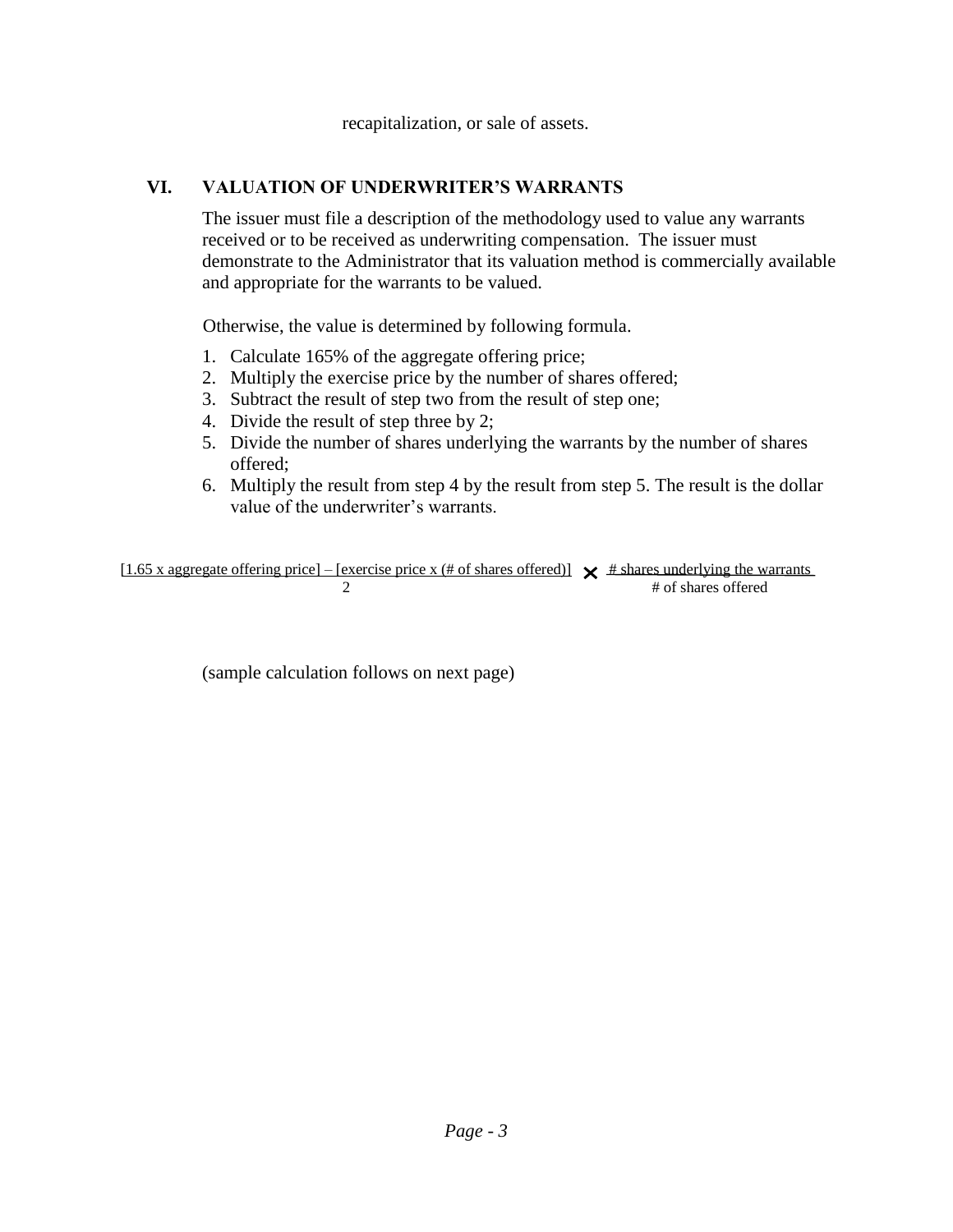recapitalization, or sale of assets.

# **VI. VALUATION OF UNDERWRITER'S WARRANTS**

The issuer must file a description of the methodology used to value any warrants received or to be received as underwriting compensation. The issuer must demonstrate to the Administrator that its valuation method is commercially available and appropriate for the warrants to be valued.

Otherwise, the value is determined by following formula.

- 1. Calculate 165% of the aggregate offering price;
- 2. Multiply the exercise price by the number of shares offered;
- 3. Subtract the result of step two from the result of step one;
- 4. Divide the result of step three by 2;
- 5. Divide the number of shares underlying the warrants by the number of shares offered;
- 6. Multiply the result from step 4 by the result from step 5. The result is the dollar value of the underwriter's warrants.

[1.65 x aggregate offering price] – [exercise price x (# of shares offered)]  $\times$  # shares underlying the warrants 2 # of shares offered

(sample calculation follows on next page)